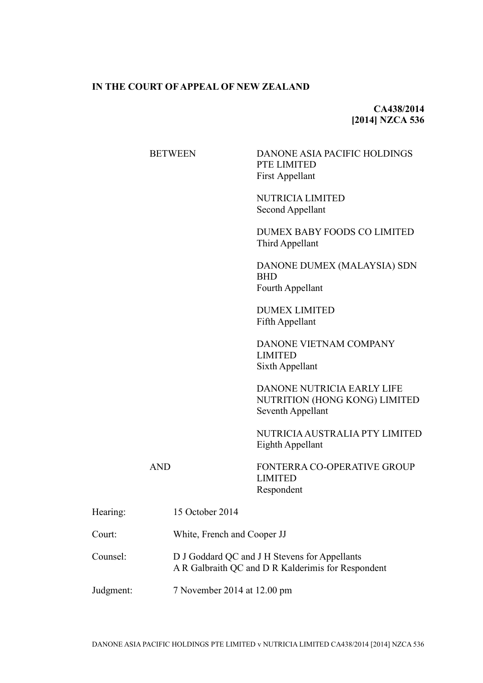### **IN THE COURT OF APPEAL OF NEW ZEALAND**

## **CA438/2014 [2014] NZCA 536**

# BETWEEN DANONE ASIA PACIFIC HOLDINGS PTE LIMITED First Appellant NUTRICIA LIMITED Second Appellant DUMEX BABY FOODS CO LIMITED Third Appellant DANONE DUMEX (MALAYSIA) SDN BHD Fourth Appellant DUMEX LIMITED Fifth Appellant DANONE VIETNAM COMPANY LIMITED Sixth Appellant DANONE NUTRICIA EARLY LIFE NUTRITION (HONG KONG) LIMITED Seventh Appellant NUTRICIA AUSTRALIA PTY LIMITED Eighth Appellant AND FONTERRA CO-OPERATIVE GROUP LIMITED Respondent Hearing: 15 October 2014 Court: White, French and Cooper JJ Counsel: D J Goddard QC and J H Stevens for Appellants A R Galbraith QC and D R Kalderimis for Respondent Judgment: 7 November 2014 at 12.00 pm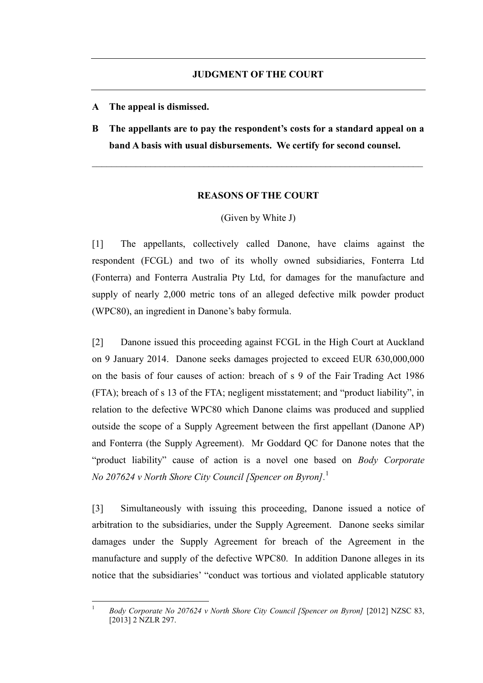- **A The appeal is dismissed.**
- **B The appellants are to pay the respondent's costs for a standard appeal on a band A basis with usual disbursements. We certify for second counsel.**

 $\mathcal{L}_\mathcal{L} = \{ \mathcal{L}_\mathcal{L} = \{ \mathcal{L}_\mathcal{L} = \{ \mathcal{L}_\mathcal{L} = \{ \mathcal{L}_\mathcal{L} = \{ \mathcal{L}_\mathcal{L} = \{ \mathcal{L}_\mathcal{L} = \{ \mathcal{L}_\mathcal{L} = \{ \mathcal{L}_\mathcal{L} = \{ \mathcal{L}_\mathcal{L} = \{ \mathcal{L}_\mathcal{L} = \{ \mathcal{L}_\mathcal{L} = \{ \mathcal{L}_\mathcal{L} = \{ \mathcal{L}_\mathcal{L} = \{ \mathcal{L}_\mathcal{$ 

### **REASONS OF THE COURT**

### (Given by White J)

[1] The appellants, collectively called Danone, have claims against the respondent (FCGL) and two of its wholly owned subsidiaries, Fonterra Ltd (Fonterra) and Fonterra Australia Pty Ltd, for damages for the manufacture and supply of nearly 2,000 metric tons of an alleged defective milk powder product (WPC80), an ingredient in Danone's baby formula.

[2] Danone issued this proceeding against FCGL in the High Court at Auckland on 9 January 2014. Danone seeks damages projected to exceed EUR 630,000,000 on the basis of four causes of action: breach of s 9 of the Fair Trading Act 1986 (FTA); breach of s 13 of the FTA; negligent misstatement; and "product liability", in relation to the defective WPC80 which Danone claims was produced and supplied outside the scope of a Supply Agreement between the first appellant (Danone AP) and Fonterra (the Supply Agreement). Mr Goddard QC for Danone notes that the "product liability" cause of action is a novel one based on *Body Corporate No 207624 v North Shore City Council [Spencer on Byron].*<sup>1</sup>

[3] Simultaneously with issuing this proceeding, Danone issued a notice of arbitration to the subsidiaries, under the Supply Agreement. Danone seeks similar damages under the Supply Agreement for breach of the Agreement in the manufacture and supply of the defective WPC80. In addition Danone alleges in its notice that the subsidiaries' "conduct was tortious and violated applicable statutory

 $\overline{1}$ <sup>1</sup> *Body Corporate No 207624 v North Shore City Council [Spencer on Byron]* [2012] NZSC 83, [2013] 2 NZLR 297.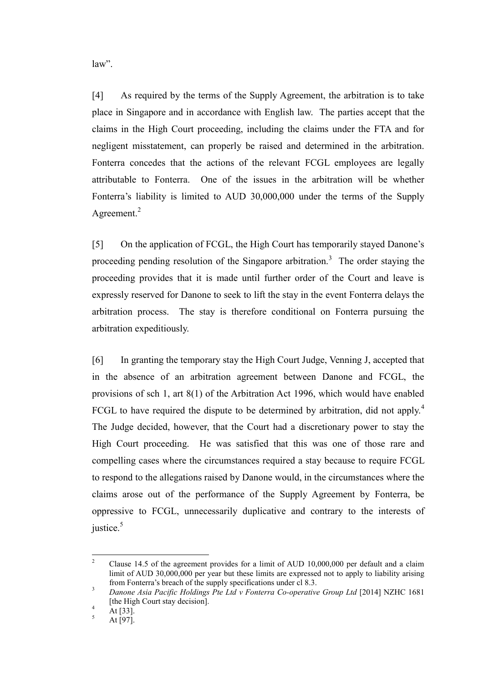law".

[4] As required by the terms of the Supply Agreement, the arbitration is to take place in Singapore and in accordance with English law. The parties accept that the claims in the High Court proceeding, including the claims under the FTA and for negligent misstatement, can properly be raised and determined in the arbitration. Fonterra concedes that the actions of the relevant FCGL employees are legally attributable to Fonterra. One of the issues in the arbitration will be whether Fonterra's liability is limited to AUD 30,000,000 under the terms of the Supply Agreement.<sup>2</sup>

[5] On the application of FCGL, the High Court has temporarily stayed Danone's proceeding pending resolution of the Singapore arbitration.<sup>3</sup> The order staying the proceeding provides that it is made until further order of the Court and leave is expressly reserved for Danone to seek to lift the stay in the event Fonterra delays the arbitration process. The stay is therefore conditional on Fonterra pursuing the arbitration expeditiously.

[6] In granting the temporary stay the High Court Judge, Venning J, accepted that in the absence of an arbitration agreement between Danone and FCGL, the provisions of sch 1, art 8(1) of the Arbitration Act 1996, which would have enabled FCGL to have required the dispute to be determined by arbitration, did not apply.<sup>4</sup> The Judge decided, however, that the Court had a discretionary power to stay the High Court proceeding. He was satisfied that this was one of those rare and compelling cases where the circumstances required a stay because to require FCGL to respond to the allegations raised by Danone would, in the circumstances where the claims arose out of the performance of the Supply Agreement by Fonterra, be oppressive to FCGL, unnecessarily duplicative and contrary to the interests of justice. $5$ 

 $\overline{2}$ <sup>2</sup> Clause 14.5 of the agreement provides for a limit of AUD 10,000,000 per default and a claim limit of AUD 30,000,000 per year but these limits are expressed not to apply to liability arising from Fonterra's breach of the supply specifications under cl 8.3.

<sup>3</sup> *Danone Asia Pacific Holdings Pte Ltd v Fonterra Co-operative Group Ltd* [2014] NZHC 1681 [the High Court stay decision].

 $^{4}$  At [33].

At [97].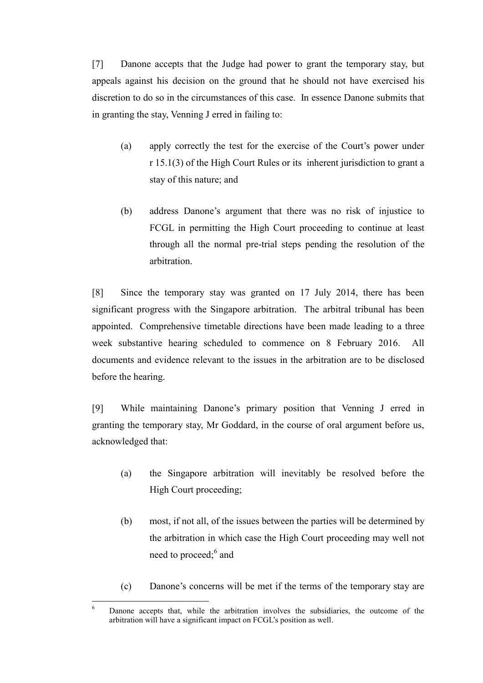[7] Danone accepts that the Judge had power to grant the temporary stay, but appeals against his decision on the ground that he should not have exercised his discretion to do so in the circumstances of this case. In essence Danone submits that in granting the stay, Venning J erred in failing to:

- (a) apply correctly the test for the exercise of the Court's power under r 15.1(3) of the High Court Rules or its inherent jurisdiction to grant a stay of this nature; and
- (b) address Danone's argument that there was no risk of injustice to FCGL in permitting the High Court proceeding to continue at least through all the normal pre-trial steps pending the resolution of the arbitration.

[8] Since the temporary stay was granted on 17 July 2014, there has been significant progress with the Singapore arbitration. The arbitral tribunal has been appointed. Comprehensive timetable directions have been made leading to a three week substantive hearing scheduled to commence on 8 February 2016. All documents and evidence relevant to the issues in the arbitration are to be disclosed before the hearing.

[9] While maintaining Danone's primary position that Venning J erred in granting the temporary stay, Mr Goddard, in the course of oral argument before us, acknowledged that:

- (a) the Singapore arbitration will inevitably be resolved before the High Court proceeding;
- (b) most, if not all, of the issues between the parties will be determined by the arbitration in which case the High Court proceeding may well not need to proceed;<sup>6</sup> and
- (c) Danone's concerns will be met if the terms of the temporary stay are

<sup>6</sup> <sup>6</sup> Danone accepts that, while the arbitration involves the subsidiaries, the outcome of the arbitration will have a significant impact on FCGL's position as well.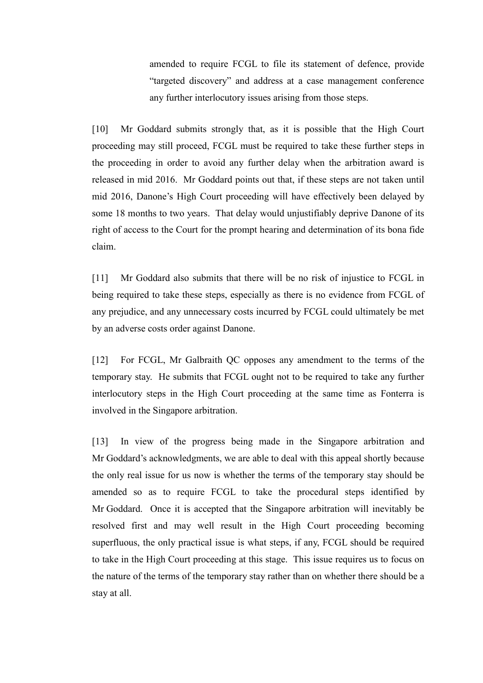amended to require FCGL to file its statement of defence, provide "targeted discovery" and address at a case management conference any further interlocutory issues arising from those steps.

[10] Mr Goddard submits strongly that, as it is possible that the High Court proceeding may still proceed, FCGL must be required to take these further steps in the proceeding in order to avoid any further delay when the arbitration award is released in mid 2016. Mr Goddard points out that, if these steps are not taken until mid 2016, Danone's High Court proceeding will have effectively been delayed by some 18 months to two years. That delay would unjustifiably deprive Danone of its right of access to the Court for the prompt hearing and determination of its bona fide claim.

[11] Mr Goddard also submits that there will be no risk of injustice to FCGL in being required to take these steps, especially as there is no evidence from FCGL of any prejudice, and any unnecessary costs incurred by FCGL could ultimately be met by an adverse costs order against Danone.

[12] For FCGL, Mr Galbraith QC opposes any amendment to the terms of the temporary stay. He submits that FCGL ought not to be required to take any further interlocutory steps in the High Court proceeding at the same time as Fonterra is involved in the Singapore arbitration.

[13] In view of the progress being made in the Singapore arbitration and Mr Goddard's acknowledgments, we are able to deal with this appeal shortly because the only real issue for us now is whether the terms of the temporary stay should be amended so as to require FCGL to take the procedural steps identified by Mr Goddard. Once it is accepted that the Singapore arbitration will inevitably be resolved first and may well result in the High Court proceeding becoming superfluous, the only practical issue is what steps, if any, FCGL should be required to take in the High Court proceeding at this stage. This issue requires us to focus on the nature of the terms of the temporary stay rather than on whether there should be a stay at all.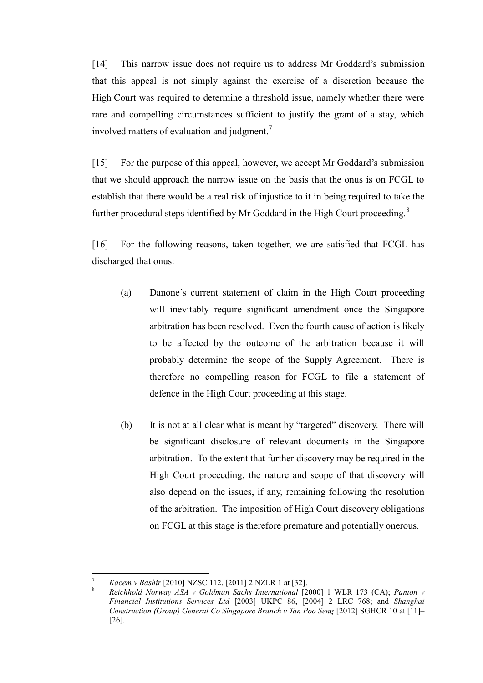[14] This narrow issue does not require us to address Mr Goddard's submission that this appeal is not simply against the exercise of a discretion because the High Court was required to determine a threshold issue, namely whether there were rare and compelling circumstances sufficient to justify the grant of a stay, which involved matters of evaluation and judgment.<sup>7</sup>

[15] For the purpose of this appeal, however, we accept Mr Goddard's submission that we should approach the narrow issue on the basis that the onus is on FCGL to establish that there would be a real risk of injustice to it in being required to take the further procedural steps identified by Mr Goddard in the High Court proceeding.<sup>8</sup>

[16] For the following reasons, taken together, we are satisfied that FCGL has discharged that onus:

- (a) Danone's current statement of claim in the High Court proceeding will inevitably require significant amendment once the Singapore arbitration has been resolved. Even the fourth cause of action is likely to be affected by the outcome of the arbitration because it will probably determine the scope of the Supply Agreement. There is therefore no compelling reason for FCGL to file a statement of defence in the High Court proceeding at this stage.
- (b) It is not at all clear what is meant by "targeted" discovery. There will be significant disclosure of relevant documents in the Singapore arbitration. To the extent that further discovery may be required in the High Court proceeding, the nature and scope of that discovery will also depend on the issues, if any, remaining following the resolution of the arbitration. The imposition of High Court discovery obligations on FCGL at this stage is therefore premature and potentially onerous.

 $\overline{a}$ 

<sup>7</sup> *Kacem v Bashir* [2010] NZSC 112, [2011] 2 NZLR 1 at [32].

<sup>8</sup> *Reichhold Norway ASA v Goldman Sachs International* [2000] 1 WLR 173 (CA); *Panton v Financial Institutions Services Ltd* [2003] UKPC 86, [2004] 2 LRC 768; and *Shanghai Construction (Group) General Co Singapore Branch v Tan Poo Seng* [2012] SGHCR 10 at [11]– [26].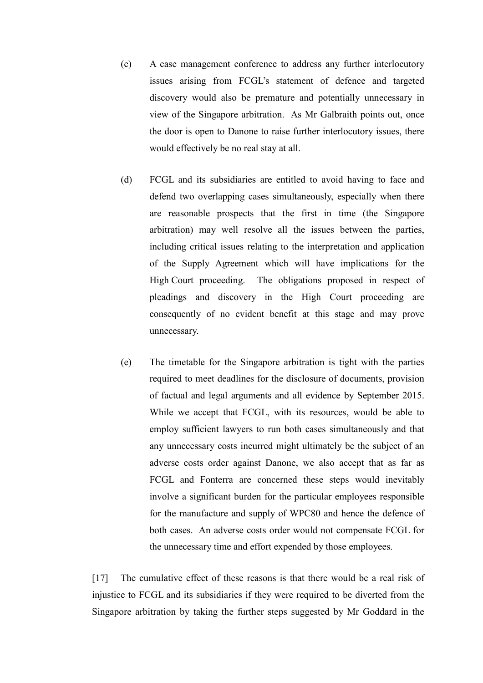- (c) A case management conference to address any further interlocutory issues arising from FCGL's statement of defence and targeted discovery would also be premature and potentially unnecessary in view of the Singapore arbitration. As Mr Galbraith points out, once the door is open to Danone to raise further interlocutory issues, there would effectively be no real stay at all.
- (d) FCGL and its subsidiaries are entitled to avoid having to face and defend two overlapping cases simultaneously, especially when there are reasonable prospects that the first in time (the Singapore arbitration) may well resolve all the issues between the parties, including critical issues relating to the interpretation and application of the Supply Agreement which will have implications for the High Court proceeding. The obligations proposed in respect of pleadings and discovery in the High Court proceeding are consequently of no evident benefit at this stage and may prove unnecessary.
- (e) The timetable for the Singapore arbitration is tight with the parties required to meet deadlines for the disclosure of documents, provision of factual and legal arguments and all evidence by September 2015. While we accept that FCGL, with its resources, would be able to employ sufficient lawyers to run both cases simultaneously and that any unnecessary costs incurred might ultimately be the subject of an adverse costs order against Danone, we also accept that as far as FCGL and Fonterra are concerned these steps would inevitably involve a significant burden for the particular employees responsible for the manufacture and supply of WPC80 and hence the defence of both cases. An adverse costs order would not compensate FCGL for the unnecessary time and effort expended by those employees.

[17] The cumulative effect of these reasons is that there would be a real risk of injustice to FCGL and its subsidiaries if they were required to be diverted from the Singapore arbitration by taking the further steps suggested by Mr Goddard in the